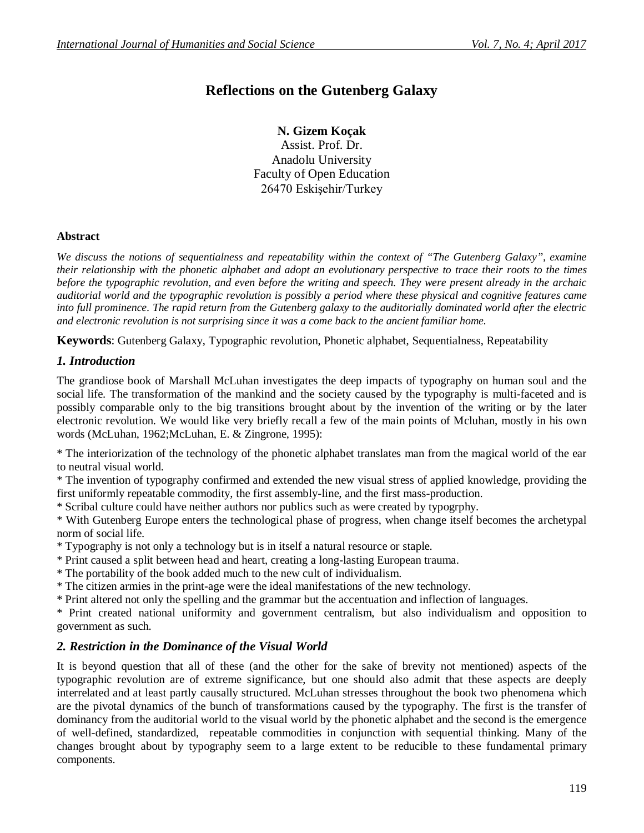# **Reflections on the Gutenberg Galaxy**

**N. Gizem Koçak** Assist. Prof. Dr. Anadolu University Faculty of Open Education 26470 Eskişehir/Turkey

## **Abstract**

*We discuss the notions of sequentialness and repeatability within the context of "The Gutenberg Galaxy", examine their relationship with the phonetic alphabet and adopt an evolutionary perspective to trace their roots to the times before the typographic revolution, and even before the writing and speech. They were present already in the archaic auditorial world and the typographic revolution is possibly a period where these physical and cognitive features came into full prominence. The rapid return from the Gutenberg galaxy to the auditorially dominated world after the electric and electronic revolution is not surprising since it was a come back to the ancient familiar home.*

**Keywords**: Gutenberg Galaxy, Typographic revolution, Phonetic alphabet, Sequentialness, Repeatability

## *1. Introduction*

The grandiose book of Marshall McLuhan investigates the deep impacts of typography on human soul and the social life. The transformation of the mankind and the society caused by the typography is multi-faceted and is possibly comparable only to the big transitions brought about by the invention of the writing or by the later electronic revolution. We would like very briefly recall a few of the main points of Mcluhan, mostly in his own words (McLuhan, 1962;McLuhan, E. & Zingrone, 1995):

\* The interiorization of the technology of the phonetic alphabet translates man from the magical world of the ear to neutral visual world.

\* The invention of typography confirmed and extended the new visual stress of applied knowledge, providing the first uniformly repeatable commodity, the first assembly-line, and the first mass-production.

\* Scribal culture could have neither authors nor publics such as were created by typogrphy.

\* With Gutenberg Europe enters the technological phase of progress, when change itself becomes the archetypal norm of social life.

\* Typography is not only a technology but is in itself a natural resource or staple.

\* Print caused a split between head and heart, creating a long-lasting European trauma.

\* The portability of the book added much to the new cult of individualism.

\* The citizen armies in the print-age were the ideal manifestations of the new technology.

\* Print altered not only the spelling and the grammar but the accentuation and inflection of languages.

\* Print created national uniformity and government centralism, but also individualism and opposition to government as such.

## *2. Restriction in the Dominance of the Visual World*

It is beyond question that all of these (and the other for the sake of brevity not mentioned) aspects of the typographic revolution are of extreme significance, but one should also admit that these aspects are deeply interrelated and at least partly causally structured. McLuhan stresses throughout the book two phenomena which are the pivotal dynamics of the bunch of transformations caused by the typography. The first is the transfer of dominancy from the auditorial world to the visual world by the phonetic alphabet and the second is the emergence of well-defined, standardized, repeatable commodities in conjunction with sequential thinking. Many of the changes brought about by typography seem to a large extent to be reducible to these fundamental primary components.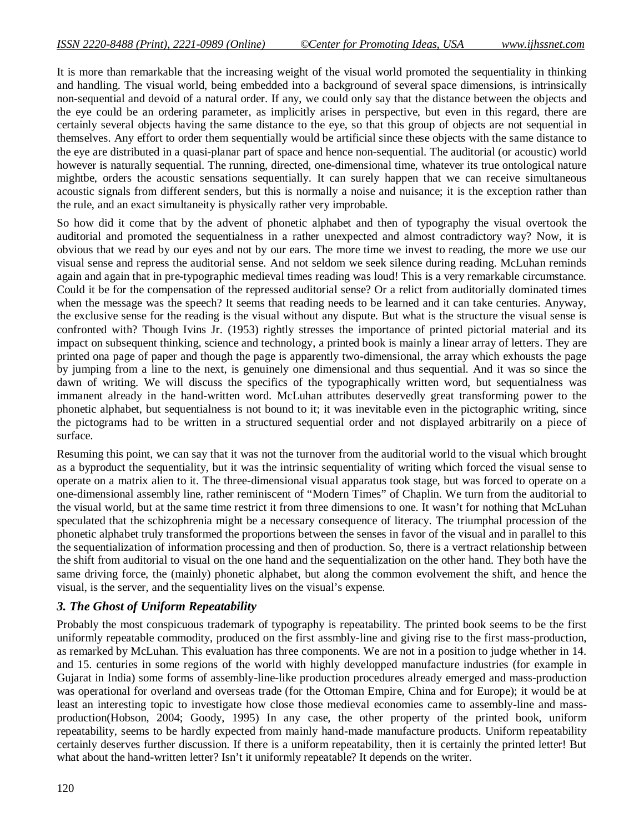It is more than remarkable that the increasing weight of the visual world promoted the sequentiality in thinking and handling. The visual world, being embedded into a background of several space dimensions, is intrinsically non-sequential and devoid of a natural order. If any, we could only say that the distance between the objects and the eye could be an ordering parameter, as implicitly arises in perspective, but even in this regard, there are certainly several objects having the same distance to the eye, so that this group of objects are not sequential in themselves. Any effort to order them sequentially would be artificial since these objects with the same distance to the eye are distributed in a quasi-planar part of space and hence non-sequential. The auditorial (or acoustic) world however is naturally sequential. The running, directed, one-dimensional time, whatever its true ontological nature mightbe, orders the acoustic sensations sequentially. It can surely happen that we can receive simultaneous acoustic signals from different senders, but this is normally a noise and nuisance; it is the exception rather than the rule, and an exact simultaneity is physically rather very improbable.

So how did it come that by the advent of phonetic alphabet and then of typography the visual overtook the auditorial and promoted the sequentialness in a rather unexpected and almost contradictory way? Now, it is obvious that we read by our eyes and not by our ears. The more time we invest to reading, the more we use our visual sense and repress the auditorial sense. And not seldom we seek silence during reading. McLuhan reminds again and again that in pre-typographic medieval times reading was loud! This is a very remarkable circumstance. Could it be for the compensation of the repressed auditorial sense? Or a relict from auditorially dominated times when the message was the speech? It seems that reading needs to be learned and it can take centuries. Anyway, the exclusive sense for the reading is the visual without any dispute. But what is the structure the visual sense is confronted with? Though Ivins Jr. (1953) rightly stresses the importance of printed pictorial material and its impact on subsequent thinking, science and technology, a printed book is mainly a linear array of letters. They are printed ona page of paper and though the page is apparently two-dimensional, the array which exhousts the page by jumping from a line to the next, is genuinely one dimensional and thus sequential. And it was so since the dawn of writing. We will discuss the specifics of the typographically written word, but sequentialness was immanent already in the hand-written word. McLuhan attributes deservedly great transforming power to the phonetic alphabet, but sequentialness is not bound to it; it was inevitable even in the pictographic writing, since the pictograms had to be written in a structured sequential order and not displayed arbitrarily on a piece of surface.

Resuming this point, we can say that it was not the turnover from the auditorial world to the visual which brought as a byproduct the sequentiality, but it was the intrinsic sequentiality of writing which forced the visual sense to operate on a matrix alien to it. The three-dimensional visual apparatus took stage, but was forced to operate on a one-dimensional assembly line, rather reminiscent of "Modern Times" of Chaplin. We turn from the auditorial to the visual world, but at the same time restrict it from three dimensions to one. It wasn't for nothing that McLuhan speculated that the schizophrenia might be a necessary consequence of literacy. The triumphal procession of the phonetic alphabet truly transformed the proportions between the senses in favor of the visual and in parallel to this the sequentialization of information processing and then of production. So, there is a vertract relationship between the shift from auditorial to visual on the one hand and the sequentialization on the other hand. They both have the same driving force, the (mainly) phonetic alphabet, but along the common evolvement the shift, and hence the visual, is the server, and the sequentiality lives on the visual's expense.

#### *3. The Ghost of Uniform Repeatability*

Probably the most conspicuous trademark of typography is repeatability. The printed book seems to be the first uniformly repeatable commodity, produced on the first assmbly-line and giving rise to the first mass-production, as remarked by McLuhan. This evaluation has three components. We are not in a position to judge whether in 14. and 15. centuries in some regions of the world with highly developped manufacture industries (for example in Gujarat in India) some forms of assembly-line-like production procedures already emerged and mass-production was operational for overland and overseas trade (for the Ottoman Empire, China and for Europe); it would be at least an interesting topic to investigate how close those medieval economies came to assembly-line and massproduction(Hobson, 2004; Goody, 1995) In any case, the other property of the printed book, uniform repeatability, seems to be hardly expected from mainly hand-made manufacture products. Uniform repeatability certainly deserves further discussion. If there is a uniform repeatability, then it is certainly the printed letter! But what about the hand-written letter? Isn't it uniformly repeatable? It depends on the writer.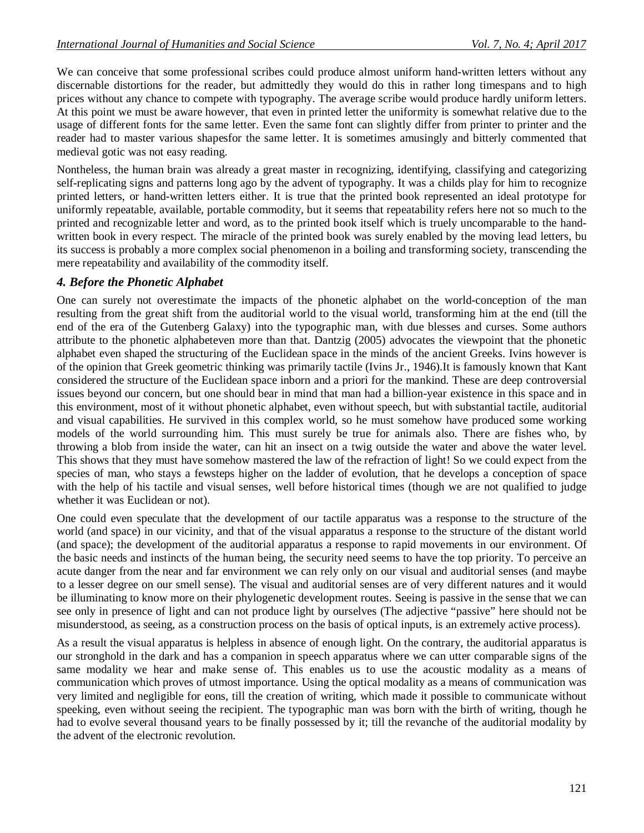We can conceive that some professional scribes could produce almost uniform hand-written letters without any discernable distortions for the reader, but admittedly they would do this in rather long timespans and to high prices without any chance to compete with typography. The average scribe would produce hardly uniform letters. At this point we must be aware however, that even in printed letter the uniformity is somewhat relative due to the usage of different fonts for the same letter. Even the same font can slightly differ from printer to printer and the reader had to master various shapesfor the same letter. It is sometimes amusingly and bitterly commented that medieval gotic was not easy reading.

Nontheless, the human brain was already a great master in recognizing, identifying, classifying and categorizing self-replicating signs and patterns long ago by the advent of typography. It was a childs play for him to recognize printed letters, or hand-written letters either. It is true that the printed book represented an ideal prototype for uniformly repeatable, available, portable commodity, but it seems that repeatability refers here not so much to the printed and recognizable letter and word, as to the printed book itself which is truely uncomparable to the handwritten book in every respect. The miracle of the printed book was surely enabled by the moving lead letters, bu its success is probably a more complex social phenomenon in a boiling and transforming society, transcending the mere repeatability and availability of the commodity itself.

## *4. Before the Phonetic Alphabet*

One can surely not overestimate the impacts of the phonetic alphabet on the world-conception of the man resulting from the great shift from the auditorial world to the visual world, transforming him at the end (till the end of the era of the Gutenberg Galaxy) into the typographic man, with due blesses and curses. Some authors attribute to the phonetic alphabeteven more than that. Dantzig (2005) advocates the viewpoint that the phonetic alphabet even shaped the structuring of the Euclidean space in the minds of the ancient Greeks. Ivins however is of the opinion that Greek geometric thinking was primarily tactile (Ivins Jr., 1946).It is famously known that Kant considered the structure of the Euclidean space inborn and a priori for the mankind. These are deep controversial issues beyond our concern, but one should bear in mind that man had a billion-year existence in this space and in this environment, most of it without phonetic alphabet, even without speech, but with substantial tactile, auditorial and visual capabilities. He survived in this complex world, so he must somehow have produced some working models of the world surrounding him. This must surely be true for animals also. There are fishes who, by throwing a blob from inside the water, can hit an insect on a twig outside the water and above the water level. This shows that they must have somehow mastered the law of the refraction of light! So we could expect from the species of man, who stays a fewsteps higher on the ladder of evolution, that he develops a conception of space with the help of his tactile and visual senses, well before historical times (though we are not qualified to judge whether it was Euclidean or not).

One could even speculate that the development of our tactile apparatus was a response to the structure of the world (and space) in our vicinity, and that of the visual apparatus a response to the structure of the distant world (and space); the development of the auditorial apparatus a response to rapid movements in our environment. Of the basic needs and instincts of the human being, the security need seems to have the top priority. To perceive an acute danger from the near and far environment we can rely only on our visual and auditorial senses (and maybe to a lesser degree on our smell sense). The visual and auditorial senses are of very different natures and it would be illuminating to know more on their phylogenetic development routes. Seeing is passive in the sense that we can see only in presence of light and can not produce light by ourselves (The adjective "passive" here should not be misunderstood, as seeing, as a construction process on the basis of optical inputs, is an extremely active process).

As a result the visual apparatus is helpless in absence of enough light. On the contrary, the auditorial apparatus is our stronghold in the dark and has a companion in speech apparatus where we can utter comparable signs of the same modality we hear and make sense of. This enables us to use the acoustic modality as a means of communication which proves of utmost importance. Using the optical modality as a means of communication was very limited and negligible for eons, till the creation of writing, which made it possible to communicate without speeking, even without seeing the recipient. The typographic man was born with the birth of writing, though he had to evolve several thousand years to be finally possessed by it; till the revanche of the auditorial modality by the advent of the electronic revolution.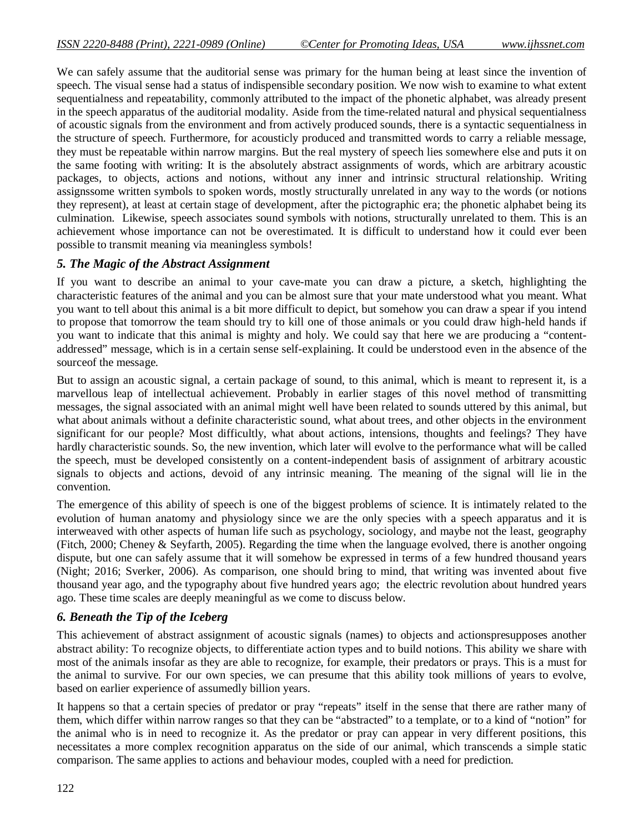We can safely assume that the auditorial sense was primary for the human being at least since the invention of speech. The visual sense had a status of indispensible secondary position. We now wish to examine to what extent sequentialness and repeatability, commonly attributed to the impact of the phonetic alphabet, was already present in the speech apparatus of the auditorial modality. Aside from the time-related natural and physical sequentialness of acoustic signals from the environment and from actively produced sounds, there is a syntactic sequentialness in the structure of speech. Furthermore, for acousticly produced and transmitted words to carry a reliable message, they must be repeatable within narrow margins. But the real mystery of speech lies somewhere else and puts it on the same footing with writing: It is the absolutely abstract assignments of words, which are arbitrary acoustic packages, to objects, actions and notions, without any inner and intrinsic structural relationship. Writing assignssome written symbols to spoken words, mostly structurally unrelated in any way to the words (or notions they represent), at least at certain stage of development, after the pictographic era; the phonetic alphabet being its culmination. Likewise, speech associates sound symbols with notions, structurally unrelated to them. This is an achievement whose importance can not be overestimated. It is difficult to understand how it could ever been possible to transmit meaning via meaningless symbols!

## *5. The Magic of the Abstract Assignment*

If you want to describe an animal to your cave-mate you can draw a picture, a sketch, highlighting the characteristic features of the animal and you can be almost sure that your mate understood what you meant. What you want to tell about this animal is a bit more difficult to depict, but somehow you can draw a spear if you intend to propose that tomorrow the team should try to kill one of those animals or you could draw high-held hands if you want to indicate that this animal is mighty and holy. We could say that here we are producing a "contentaddressed" message, which is in a certain sense self-explaining. It could be understood even in the absence of the sourceof the message.

But to assign an acoustic signal, a certain package of sound, to this animal, which is meant to represent it, is a marvellous leap of intellectual achievement. Probably in earlier stages of this novel method of transmitting messages, the signal associated with an animal might well have been related to sounds uttered by this animal, but what about animals without a definite characteristic sound, what about trees, and other objects in the environment significant for our people? Most difficultly, what about actions, intensions, thoughts and feelings? They have hardly characteristic sounds. So, the new invention, which later will evolve to the performance what will be called the speech, must be developed consistently on a content-independent basis of assignment of arbitrary acoustic signals to objects and actions, devoid of any intrinsic meaning. The meaning of the signal will lie in the convention.

The emergence of this ability of speech is one of the biggest problems of science. It is intimately related to the evolution of human anatomy and physiology since we are the only species with a speech apparatus and it is interweaved with other aspects of human life such as psychology, sociology, and maybe not the least, geography (Fitch, 2000; Cheney & Seyfarth, 2005). Regarding the time when the language evolved, there is another ongoing dispute, but one can safely assume that it will somehow be expressed in terms of a few hundred thousand years (Night; 2016; Sverker, 2006). As comparison, one should bring to mind, that writing was invented about five thousand year ago, and the typography about five hundred years ago; the electric revolution about hundred years ago. These time scales are deeply meaningful as we come to discuss below.

## *6. Beneath the Tip of the Iceberg*

This achievement of abstract assignment of acoustic signals (names) to objects and actionspresupposes another abstract ability: To recognize objects, to differentiate action types and to build notions. This ability we share with most of the animals insofar as they are able to recognize, for example, their predators or prays. This is a must for the animal to survive. For our own species, we can presume that this ability took millions of years to evolve, based on earlier experience of assumedly billion years.

It happens so that a certain species of predator or pray "repeats" itself in the sense that there are rather many of them, which differ within narrow ranges so that they can be "abstracted" to a template, or to a kind of "notion" for the animal who is in need to recognize it. As the predator or pray can appear in very different positions, this necessitates a more complex recognition apparatus on the side of our animal, which transcends a simple static comparison. The same applies to actions and behaviour modes, coupled with a need for prediction.